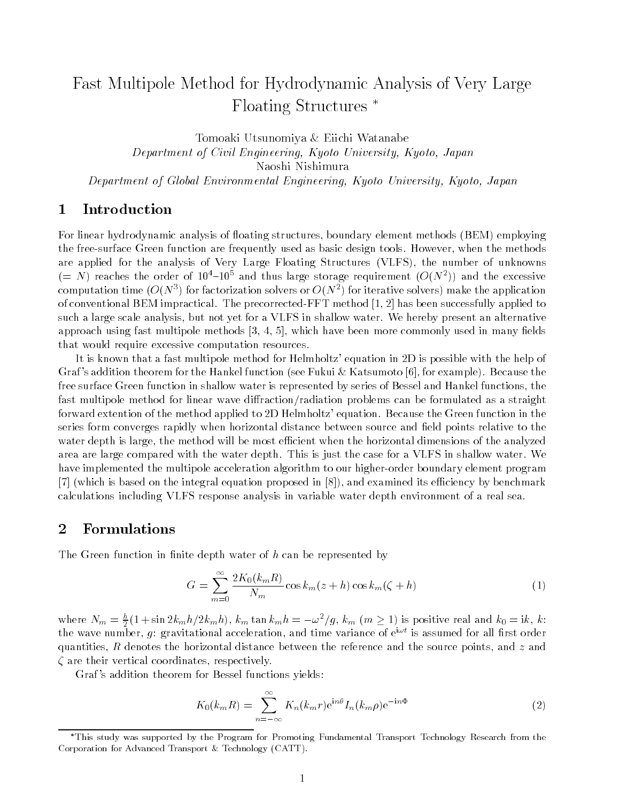## Fast Multipole Method for Hydrodynamic Analysis of Very Large Floating Structures

Tomoaki Utsunomiya & Eiichi Watanabe Department of Civil Engineering, Kyoto University, Kyoto, JapanNaoshi Nishimura Department of Global Environmental Engineering, Kyoto University, Kyoto, Japan

## <sup>1</sup> Introduction

For linear hydrodynamic analysis of floating structures, boundary element methods (BEM) employing the free-surface Green function are frequently used as basic design tools. However, when the methods are applied for the analysis of Very Large Floating Structures (VLFS), the number of unknowns  $(= N)$  reaches the order of 10  $-10$  and thus large storage requirement ( $O(N-1)$  and the excessive computation time  $(O(N^*)$  for factorization solvers or  $O(N^*)$  for iterative solvers) make the application of conventional BEM impractical. The precorrected-FFT method [1, 2] has been successfully applied to such a large scale analysis, but not yet for a VLFS in shallow water. We hereby present an alternative approach using fast multipole methods  $[3, 4, 5]$ , which have been more commonly used in many fields that would require excessive computation resources.

It is known that a fast multipole method for Helmholtz' equation in 2D is possible with the help of Graf 's addition theorem for the Hankel function (see Fukui & Katsumoto [6], for example). Because the free surface Green function in shallow water is represented by series of Bessel and Hankel functions, the fast multipole method for linear wave diffraction/radiation problems can be formulated as a straight forward extention of the method applied to 2D Helmholtz' equation. Because the Green function in the series form converges rapidly when horizontal distance between source and field points relative to the water depth is large, the method will be most efficient when the horizontal dimensions of the analyzed area are large compared with the water depth. This is just the case for a VLFS in shallow water. We have implemented the multipole acceleration algorithm to our higher-order boundary element program  $[7]$  (which is based on the integral equation proposed in  $[8]$ ), and examined its efficiency by benchmark calculations including VLFS response analysis in variable water depth environment of a real sea.

## <sup>2</sup> Formulations

The Green function in finite depth water of  $h$  can be represented by

$$
G = \sum_{m=0}^{\infty} \frac{2K_0(k_mR)}{N_m} \cos k_m(z+h) \cos k_m(\zeta+h)
$$
 (1)

where  $N_m = \frac{n}{2}(1 + \sin 2k_m h/2k_m h), k_m \tan k_m h = -\omega^2/g, k_m \ (m \ge 1)$  is positive real and  $k_0 = i k, k$ : the wave number,  $q$ : gravitational acceleration, and time variance of  $\mathrm{e}^{\mathrm{i}\omega t}$  is assumed for all first order quantities, R denotes the horizontal distance between the reference and the source points, and z and are their vertical coordinates, respectively.

Graf's addition theorem for Bessel functions yields:

$$
K_0(k_m R) = \sum_{n=-\infty}^{\infty} K_n(k_m r) e^{in\theta} I_n(k_m \rho) e^{-in\Phi}
$$
 (2)

This study was supported by the Program for Promoting Fundamental Transport Technology Research from the Corporation for Advanced Transport & Technology (CATT).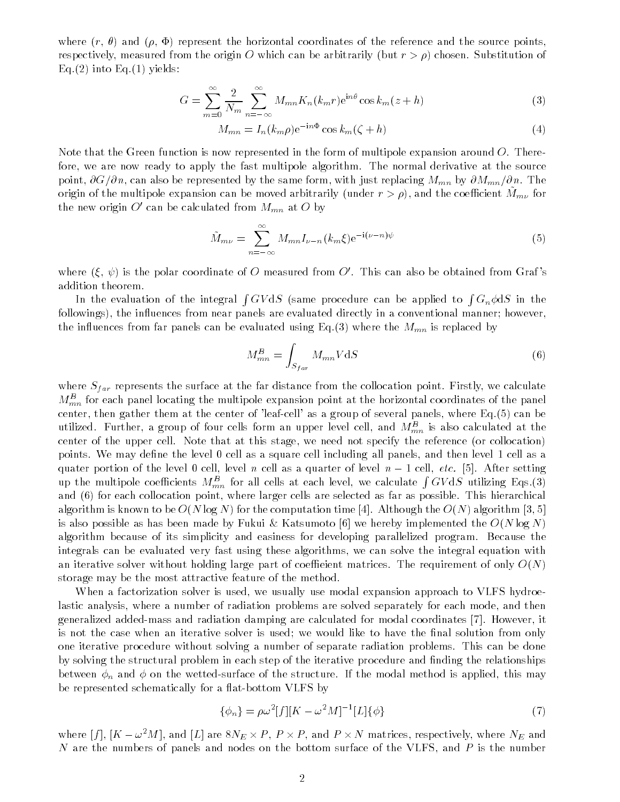where  $(r, \theta)$  and  $(\rho, \Phi)$  represent the horizontal coordinates of the reference and the source points, respectively, measured from the origin O which can be arbitrarily (but  $r>\rho$ ) chosen. Substitution of  $Eq.(2)$  into Eq.(1) yields:

$$
G = \sum_{m=0}^{\infty} \frac{2}{N_m} \sum_{n=-\infty}^{\infty} M_{mn} K_n(k_m r) e^{in\theta} \cos k_m(z+h)
$$
 (3)

$$
M_{mn} = I_n(k_m \rho) e^{-in\Phi} \cos k_m(\zeta + h)
$$
\n<sup>(4)</sup>

Note that the Green function is now represented in the form of multipole expansion around  $O$ . Therefore, we are now ready to apply the fast multipole algorithm. The normal derivative at the source point,  $\partial G/\partial n$ , can also be represented by the same form, with just replacing  $M_{mn}$  by  $\partial M_{mn}/\partial n$ . The origin of the multipole expansion can be moved arbitrarily (under  $r>\rho$ ), and the coefficient  $M_{m\nu}$  for the new origin O' can be calculated from  $M_{mn}$  at O by

$$
\tilde{M}_{m\nu} = \sum_{n=-\infty}^{\infty} M_{mn} I_{\nu-n}(k_m \xi) e^{-i(\nu - n)\psi}
$$
\n(5)

where  $(\xi, \psi)$  is the polar coordinate of O measured from O'. This can also be obtained from Graf's addition theorem.

In the evaluation of the integral  $\int GV \mathrm{d}S$  (same procedure can be applied to  $\int G_n \phi \mathrm{d}S$  in the followings), the influences from near panels are evaluated directly in a conventional manner; however, the influences from far panels can be evaluated using Eq.(3) where the  $M_{mn}$  is replaced by

$$
M_{mn}^B = \int_{S_{far}} M_{mn} V \, \mathrm{d}S \tag{6}
$$

where  $S_{far}$  represents the surface at the far distance from the collocation point. Firstly, we calculate  $M_{mn}^B$  for each panel locating the multipole expansion point at the horizontal coordinates of the panel center, then gather them at the center of 'leaf-cell' as a group of several panels, where Eq.(5) can be utilized. Further, a group of four cells form an upper level cell, and  $M_{mn}^B$  is also calculated at the center of the upper cell. Note that at this stage, we need not specify the reference (or collocation) points. We may define the level 0 cell as a square cell including all panels, and then level 1 cell as a quater portion of the level 0 cell, level n cell as a quarter of level  $n-1$  cell, etc. [5]. After setting up the multipole coefficients  $M_{mn}^B$  for all cells at each level, we calculate  $\int GV dS$  utilizing Eqs.(3) and (6) for each collocation point, where larger cells are selected as far as possible. This hierarchical algorithm is known to be  $O(N \log N)$  for the computation time [4]. Although the  $O(N)$  algorithm [3, 5] is also possible as has been made by Fukui & Katsumoto [6] we hereby implemented the  $O(N \log N)$ algorithm because of its simplicity and easiness for developing parallelized program. Because the integrals can be evaluated very fast using these algorithms, we can solve the integral equation with an iterative solver without holding large part of coefficient matrices. The requirement of only  $O(N)$ storage may be the most attractive feature of the method.

When a factorization solver is used, we usually use modal expansion approach to VLFS hydroelastic analysis, where a number of radiation problems are solved separately for each mode, and then generalized added-mass and radiation damping are calculated for modal coordinates [7]. However, it is not the case when an iterative solver is used; we would like to have the final solution from only one iterative procedure without solving a number of separate radiation problems. This can be done by solving the structural problem in each step of the iterative procedure and finding the relationships between  $\phi_n$  and  $\phi$  on the wetted-surface of the structure. If the modal method is applied, this may be represented schematically for a flat-bottom VLFS by

$$
\{\phi_n\} = \rho \omega^2 [f][K - \omega^2 M]^{-1} [L] \{\phi\} \tag{7}
$$

where  $|f|, |K-\omega^2M|,$  and  $|L|$  are  $8N_E\times P,$   $P\times P,$  and  $P\times N$  matrices, respectively, where  $N_E$  and N are the numbers of panels and nodes on the bottom surface of the VLFS, and <sup>P</sup> is the number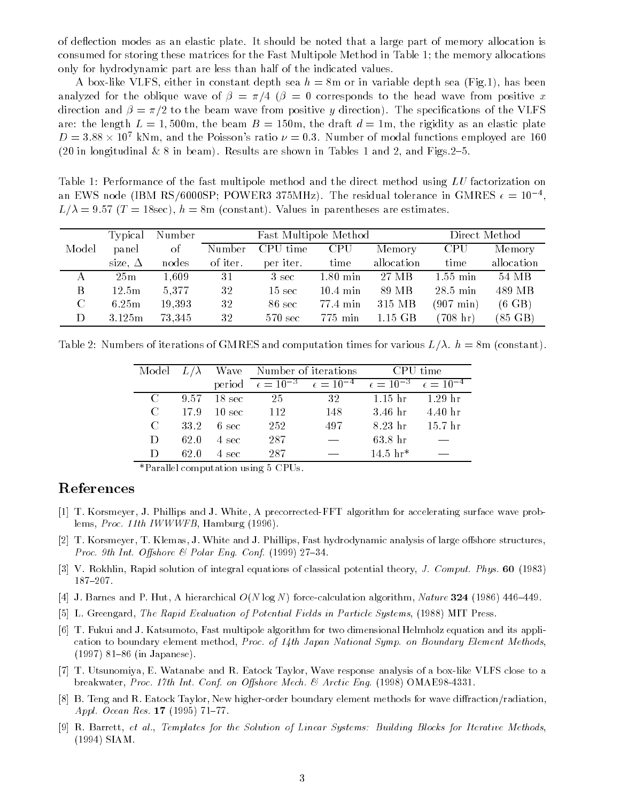of de
ection modes as an elastic plate. It should be noted that a large part of memory allocation is consumed for storing these matrices for the Fast Multipole Method in Table 1; the memory allocations only for hydrodynamic part are less than half of the indicated values.

A box-like VLFS, either in constant depth sea  $h = 8$ m or in variable depth sea (Fig.1), has been analyzed for the oblique wave of  $\beta = \pi/4$  ( $\beta = 0$  corresponds to the head wave from positive x direction and  $\beta = \pi/2$  to the beam wave from positive y direction). The specifications of the VLFS are: the length  $L = 1,500$ m, the beam  $B = 150$ m, the draft  $d = 1$ m, the rigidity as an elastic plate  $D = 3.88 \times 10^7$  kNm, and the Poisson's ratio  $\nu = 0.3$ . Number of modal functions employed are 160 (20 in longitudinal  $& 8$  in beam). Results are shown in Tables 1 and 2, and Figs. 2-5.

Table 1: Performance of the fast multipole method and the direct method using LU factorization on an EWS node (IBM KS/0000SP; PUWER3 375MHz). The residual tolerance in GMRES  $\epsilon = 10^{-3}$ ,  $L_{\text{F}}$ ,  $L_{\text{F}}$  ,  $L_{\text{F}}$  ,  $L_{\text{F}}$  ,  $L_{\text{F}}$  ,  $L_{\text{F}}$  ,  $L_{\text{F}}$  ,  $L_{\text{F}}$  ,  $L_{\text{F}}$  ,  $L_{\text{F}}$  ,  $L_{\text{F}}$  ,  $L_{\text{F}}$  ,  $L_{\text{F}}$  ,  $L_{\text{F}}$  ,  $L_{\text{F}}$  ,  $L_{\text{F}}$  ,  $L_{\text{F}}$  ,  $L_{\text{F}}$  ,  $L_{\text{$ 

|       | Typical        | Number |          | Fast Multipole Method |            |            | Direct Method       |                   |  |
|-------|----------------|--------|----------|-----------------------|------------|------------|---------------------|-------------------|--|
| Model | panel          | οf     | Number   | CPU time              | <b>CPU</b> | Memory     | <b>CPU</b>          | Memory            |  |
|       | size, $\Delta$ | nodes  | of iter. | per iter.             | time       | allocation | time                | allocation        |  |
|       | 25m            | 1.609  | 31       | 3 sec                 | $1.80$ min | 27 MB      | $1.55 \text{ min}$  | 54 MB             |  |
| B     | 12.5m          | 5,377  | 32       | $15 \text{ sec}$      | $10.4$ min | 89 MB      | $28.5$ min          | 489 MB            |  |
| C     | 6.25m          | 19,393 | 32       | 86 sec                | 77.4 min   | 315 MB     | $(907 \text{ min})$ | $(6 \text{ GB})$  |  |
| D     | 3.125m         | 73,345 | 32       | 570 sec               | 775 min    | $1.15$ GB  | $(708 \; \rm{hr})$  | $(85 \text{ GB})$ |  |

Table 2: Numbers of iterations of GMRES and computation times for various  $L/\lambda$ .  $h = 8$ m (constant).

|                       |      |                 | Model $L/\lambda$ Wave Number of iterations |                                                                                                                   | CPU time        |                    |
|-----------------------|------|-----------------|---------------------------------------------|-------------------------------------------------------------------------------------------------------------------|-----------------|--------------------|
|                       |      |                 |                                             | period $\epsilon = \overline{10^{-3} \quad \epsilon = 10^{-4} \quad \epsilon = 10^{-3} \quad \epsilon = 10^{-4}}$ |                 |                    |
| $\Gamma$              |      | 9.57 18 sec     | 25                                          | 32                                                                                                                | 1.15 hr 1.29 hr |                    |
| $\mathcal{C}_{\cdot}$ | 17.9 | - 10 sec        | - 112                                       | 148                                                                                                               | $3.46$ hr       | 4.40 <sub>hr</sub> |
| $\mathcal{C}_{\cdot}$ | 33.2 | $6 \text{ sec}$ | 252                                         | 497                                                                                                               | 8.23 hr         | 15.7 <sub>hr</sub> |
| D                     | 62.0 | 4 sec           | 287                                         |                                                                                                                   | $63.8$ hr       |                    |
| $\mathsf{D}$          | 62 O | 4 sec           | 287                                         |                                                                                                                   | $14.5 \; hr*$   |                    |

\*Parallel computation using 5 CPUs.

## References

- [1] T. Korsmeyer, J. Phillips and J. White, A precorrected-FFT algorithm for accelerating surface wave problems, Proc. 11th IWWWFB, Hamburg (1996).
- [2] T. Korsmeyer, T. Klemas, J. White and J. Phillips, Fast hydrodynamic analysis of large offshore structures, *Proc. 9th Int. Offshore*  $\mathcal{C}$  *Polar Eng. Conf.* (1999) 27-34.
- [3] V. Rokhlin, Rapid solution of integral equations of classical potential theory, J. Comput. Phys. <sup>60</sup> (1983) 187{207.
- [4] J. Barnes and P. Hut, A hierarchical  $O(N \log N)$  force-calculation algorithm, Nature 324 (1986) 446-449.
- [5] L. Greengard, The Rapid Evaluation of Potential Fields in Particle Systems, (1988) MIT Press.
- [6] T. Fukui and J. Katsumoto, Fast multipole algorithm for two dimensional Helmholz equation and its application to boundary element method, Proc. of 14th Japan National Symp. on Boundary Element Methods,  $(1997)$  81-86 (in Japanese).
- [7] T. Utsunomiya, E. Watanabe and R. Eatock Taylor, Wave response analysis of a box-like VLFS close to a breakwater, Proc. 17th Int. Conf. on Offshore Mech. & Arctic Eng. (1998) OMAE98-4331.
- [8] B. Teng and R. Eatock Taylor, New higher-order boundary element methods for wave diffraction/radiation, Appl. Ocean Res.  $17$  (1995)  $71-77$ .
- [9] R. Barrett, et al., Templates for the Solution of Linear Systems: Building Blocks for Iterative Methods, (1994) SIAM.